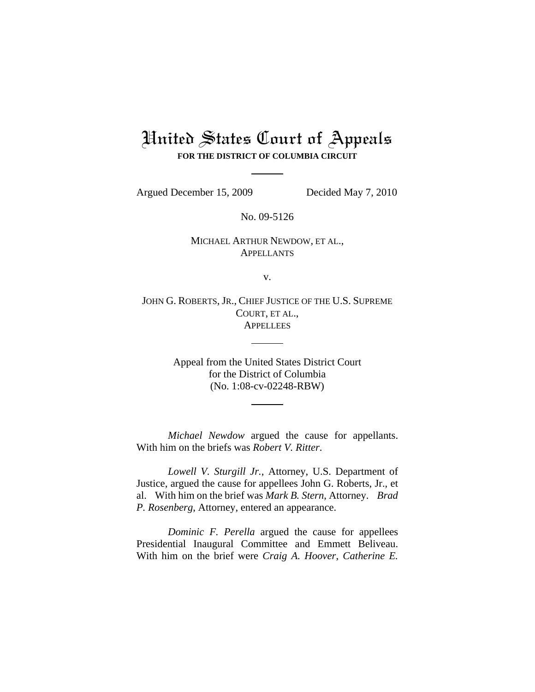# United States Court of Appeals **FOR THE DISTRICT OF COLUMBIA CIRCUIT**

Argued December 15, 2009 Decided May 7, 2010

No. 09-5126

## MICHAEL ARTHUR NEWDOW, ET AL., **APPELLANTS**

v.

JOHN G. ROBERTS, JR., CHIEF JUSTICE OF THE U.S. SUPREME COURT, ET AL., **APPELLEES** 

> Appeal from the United States District Court for the District of Columbia (No. 1:08-cv-02248-RBW)

*Michael Newdow* argued the cause for appellants. With him on the briefs was *Robert V. Ritter*.

*Lowell V. Sturgill Jr.*, Attorney, U.S. Department of Justice, argued the cause for appellees John G. Roberts, Jr., et al. With him on the brief was *Mark B. Stern*, Attorney. *Brad P. Rosenberg*, Attorney, entered an appearance.

*Dominic F. Perella* argued the cause for appellees Presidential Inaugural Committee and Emmett Beliveau. With him on the brief were *Craig A. Hoover*, *Catherine E.*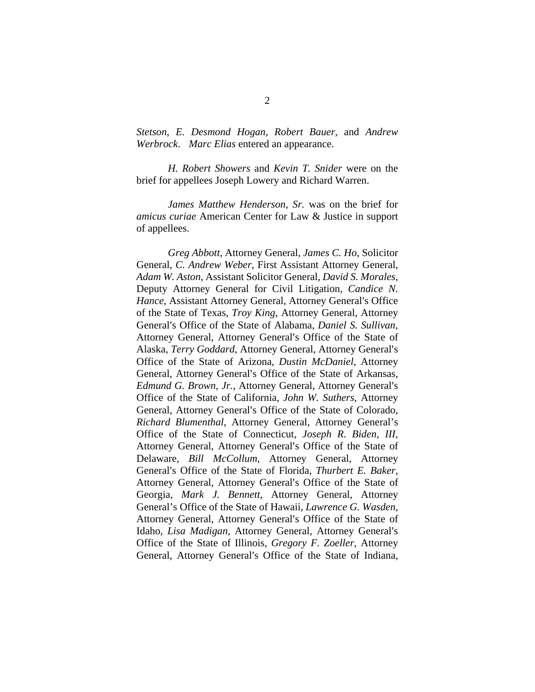*Stetson*, *E. Desmond Hogan*, *Robert Bauer*, and *Andrew Werbrock*. *Marc Elias* entered an appearance.

*H. Robert Showers* and *Kevin T. Snider* were on the brief for appellees Joseph Lowery and Richard Warren.

*James Matthew Henderson, Sr.* was on the brief for *amicus curiae* American Center for Law & Justice in support of appellees.

*Greg Abbott*, Attorney General, *James C. Ho*, Solicitor General, *C. Andrew Weber*, First Assistant Attorney General, *Adam W. Aston*, Assistant Solicitor General, *David S. Morales*, Deputy Attorney General for Civil Litigation, *Candice N. Hance*, Assistant Attorney General, Attorney General's Office of the State of Texas, *Troy King*, Attorney General, Attorney General's Office of the State of Alabama, *Daniel S. Sullivan*, Attorney General, Attorney General's Office of the State of Alaska, *Terry Goddard*, Attorney General, Attorney General's Office of the State of Arizona, *Dustin McDaniel*, Attorney General, Attorney General's Office of the State of Arkansas, *Edmund G. Brown, Jr., Attorney General, Attorney General's* Office of the State of California, *John W. Suthers*, Attorney General, Attorney General's Office of the State of Colorado, *Richard Blumenthal*, Attorney General, Attorney General's Office of the State of Connecticut, *Joseph R. Biden, III*, Attorney General, Attorney General's Office of the State of Delaware, *Bill McCollum*, Attorney General, Attorney General's Office of the State of Florida, *Thurbert E. Baker*, Attorney General, Attorney General's Office of the State of Georgia, *Mark J. Bennett*, Attorney General, Attorney General's Office of the State of Hawaii, *Lawrence G. Wasden*, Attorney General, Attorney General's Office of the State of Idaho, *Lisa Madigan*, Attorney General, Attorney General's Office of the State of Illinois, *Gregory F. Zoeller*, Attorney General, Attorney General's Office of the State of Indiana,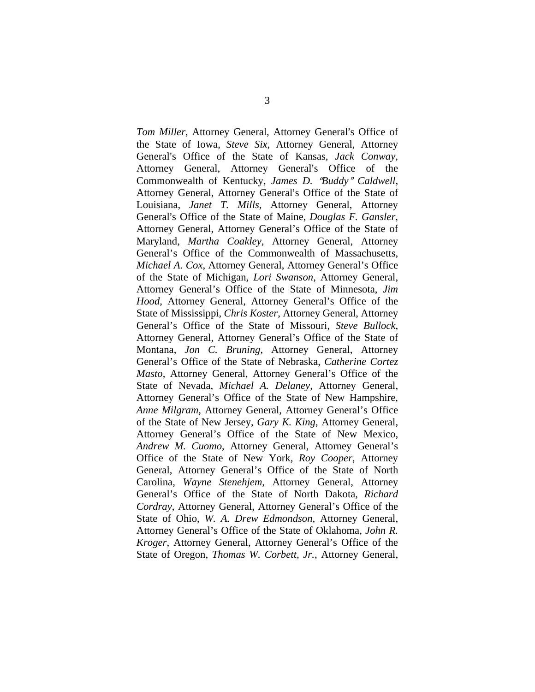*Tom Miller*, Attorney General, Attorney General's Office of the State of Iowa, *Steve Six*, Attorney General, Attorney General's Office of the State of Kansas, *Jack Conway*, Attorney General, Attorney General's Office of the Commonwealth of Kentucky, *James D. "Buddy" Caldwell*, Attorney General, Attorney General's Office of the State of Louisiana, *Janet T. Mills*, Attorney General, Attorney General's Office of the State of Maine, *Douglas F. Gansler*, Attorney General, Attorney General's Office of the State of Maryland, *Martha Coakley*, Attorney General, Attorney General's Office of the Commonwealth of Massachusetts, *Michael A. Cox*, Attorney General, Attorney General's Office of the State of Michigan, *Lori Swanson*, Attorney General, Attorney General's Office of the State of Minnesota, *Jim Hood*, Attorney General, Attorney General's Office of the State of Mississippi, *Chris Koster*, Attorney General, Attorney General's Office of the State of Missouri, *Steve Bullock*, Attorney General, Attorney General's Office of the State of Montana, *Jon C. Bruning*, Attorney General, Attorney General's Office of the State of Nebraska, *Catherine Cortez Masto*, Attorney General, Attorney General's Office of the State of Nevada, *Michael A. Delaney*, Attorney General, Attorney General's Office of the State of New Hampshire, *Anne Milgram*, Attorney General, Attorney General's Office of the State of New Jersey, *Gary K. King*, Attorney General, Attorney General's Office of the State of New Mexico, *Andrew M. Cuomo*, Attorney General, Attorney General's Office of the State of New York, *Roy Cooper*, Attorney General, Attorney General's Office of the State of North Carolina, *Wayne Stenehjem*, Attorney General, Attorney General's Office of the State of North Dakota, *Richard Cordray*, Attorney General, Attorney General's Office of the State of Ohio, *W. A. Drew Edmondson*, Attorney General, Attorney General's Office of the State of Oklahoma, *John R. Kroger*, Attorney General, Attorney General's Office of the State of Oregon, *Thomas W. Corbett, Jr.*, Attorney General,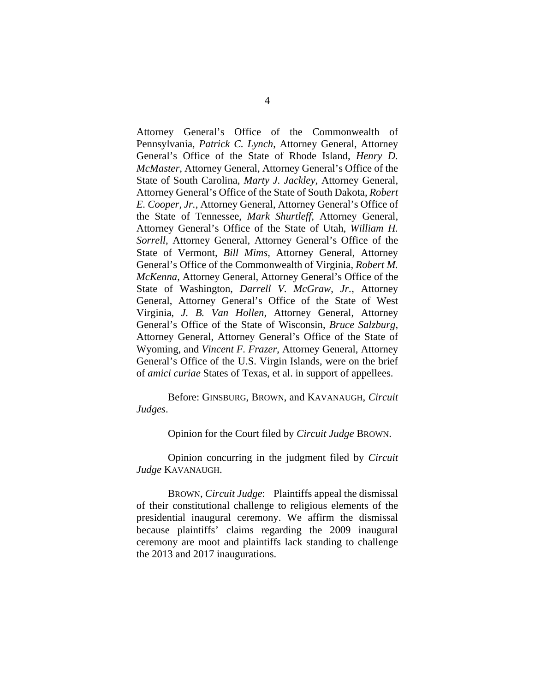Attorney General's Office of the Commonwealth of Pennsylvania, *Patrick C. Lynch*, Attorney General, Attorney General's Office of the State of Rhode Island, *Henry D. McMaster*, Attorney General, Attorney General's Office of the State of South Carolina, *Marty J. Jackley*, Attorney General, Attorney General's Office of the State of South Dakota, *Robert E. Cooper, Jr.*, Attorney General, Attorney General's Office of the State of Tennessee, *Mark Shurtleff*, Attorney General, Attorney General's Office of the State of Utah, *William H. Sorrell*, Attorney General, Attorney General's Office of the State of Vermont, *Bill Mims*, Attorney General, Attorney General's Office of the Commonwealth of Virginia, *Robert M. McKenna*, Attorney General, Attorney General's Office of the State of Washington, *Darrell V. McGraw*, *Jr.*, Attorney General, Attorney General's Office of the State of West Virginia, *J. B. Van Hollen*, Attorney General, Attorney General's Office of the State of Wisconsin, *Bruce Salzburg*, Attorney General, Attorney General's Office of the State of Wyoming, and *Vincent F. Frazer*, Attorney General, Attorney General's Office of the U.S. Virgin Islands, were on the brief of *amici curiae* States of Texas, et al. in support of appellees.

Before: GINSBURG, BROWN, and KAVANAUGH, *Circuit Judges*.

Opinion for the Court filed by *Circuit Judge* BROWN.

Opinion concurring in the judgment filed by *Circuit Judge* KAVANAUGH.

BROWN, *Circuit Judge*: Plaintiffs appeal the dismissal of their constitutional challenge to religious elements of the presidential inaugural ceremony. We affirm the dismissal because plaintiffs' claims regarding the 2009 inaugural ceremony are moot and plaintiffs lack standing to challenge the 2013 and 2017 inaugurations.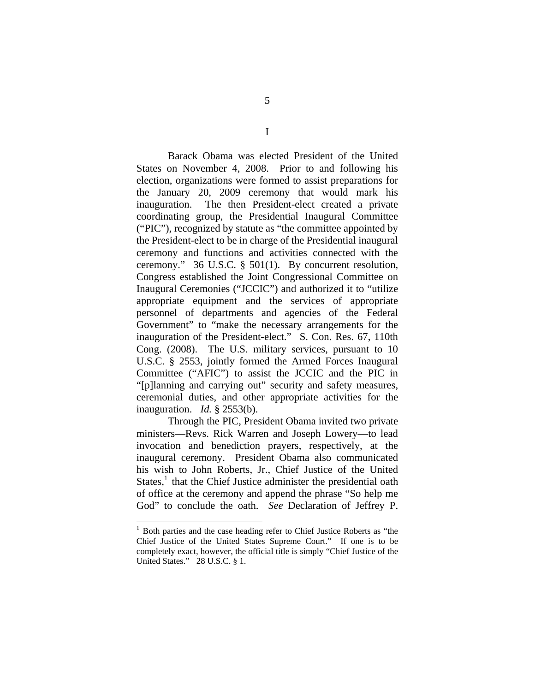Barack Obama was elected President of the United States on November 4, 2008. Prior to and following his election, organizations were formed to assist preparations for the January 20, 2009 ceremony that would mark his inauguration. The then President-elect created a private coordinating group, the Presidential Inaugural Committee ("PIC"), recognized by statute as "the committee appointed by the President-elect to be in charge of the Presidential inaugural ceremony and functions and activities connected with the ceremony." 36 U.S.C. § 501(1). By concurrent resolution, Congress established the Joint Congressional Committee on Inaugural Ceremonies ("JCCIC") and authorized it to "utilize appropriate equipment and the services of appropriate personnel of departments and agencies of the Federal Government" to "make the necessary arrangements for the inauguration of the President-elect." S. Con. Res. 67, 110th Cong. (2008). The U.S. military services, pursuant to 10 U.S.C. § 2553, jointly formed the Armed Forces Inaugural Committee ("AFIC") to assist the JCCIC and the PIC in "[p]lanning and carrying out" security and safety measures, ceremonial duties, and other appropriate activities for the inauguration. *Id.* § 2553(b).

Through the PIC, President Obama invited two private ministers—Revs. Rick Warren and Joseph Lowery—to lead invocation and benediction prayers, respectively, at the inaugural ceremony. President Obama also communicated his wish to John Roberts, Jr., Chief Justice of the United States,<sup>1</sup> that the Chief Justice administer the presidential oath of office at the ceremony and append the phrase "So help me God" to conclude the oath. *See* Declaration of Jeffrey P.

 $\overline{a}$ 

I

<sup>&</sup>lt;sup>1</sup> Both parties and the case heading refer to Chief Justice Roberts as "the Chief Justice of the United States Supreme Court." If one is to be completely exact, however, the official title is simply "Chief Justice of the United States." 28 U.S.C. § 1.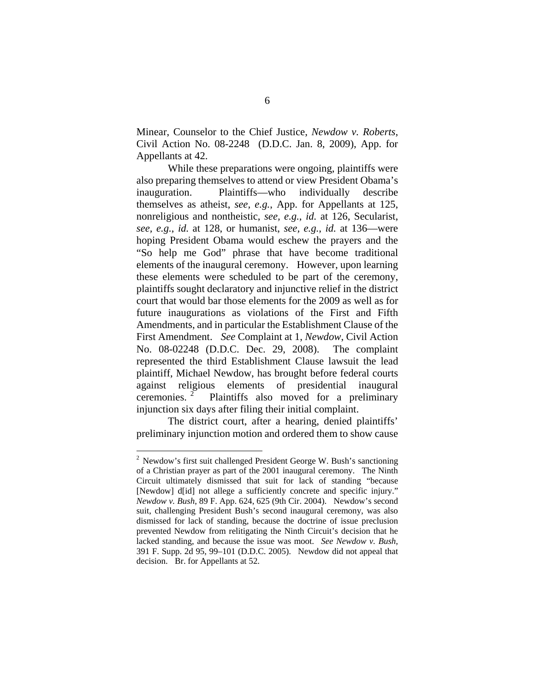Minear, Counselor to the Chief Justice, *Newdow v. Roberts*, Civil Action No. 08-2248 (D.D.C. Jan. 8, 2009), App. for Appellants at 42.

While these preparations were ongoing, plaintiffs were also preparing themselves to attend or view President Obama's inauguration. Plaintiffs—who individually describe themselves as atheist, *see, e.g.*, App. for Appellants at 125, nonreligious and nontheistic, *see, e.g.*, *id.* at 126, Secularist, *see, e.g.*, *id.* at 128, or humanist, *see, e.g.*, *id.* at 136—were hoping President Obama would eschew the prayers and the "So help me God" phrase that have become traditional elements of the inaugural ceremony. However, upon learning these elements were scheduled to be part of the ceremony, plaintiffs sought declaratory and injunctive relief in the district court that would bar those elements for the 2009 as well as for future inaugurations as violations of the First and Fifth Amendments, and in particular the Establishment Clause of the First Amendment. *See* Complaint at 1, *Newdow*, Civil Action No. 08-02248 (D.D.C. Dec. 29, 2008). The complaint represented the third Establishment Clause lawsuit the lead plaintiff, Michael Newdow, has brought before federal courts against religious elements of presidential inaugural ceremonies. 2 Plaintiffs also moved for a preliminary injunction six days after filing their initial complaint.

The district court, after a hearing, denied plaintiffs' preliminary injunction motion and ordered them to show cause

 $\overline{a}$ 

 $2$  Newdow's first suit challenged President George W. Bush's sanctioning of a Christian prayer as part of the 2001 inaugural ceremony. The Ninth Circuit ultimately dismissed that suit for lack of standing "because [Newdow] d[id] not allege a sufficiently concrete and specific injury." *Newdow v. Bush*, 89 F. App. 624, 625 (9th Cir. 2004). Newdow's second suit, challenging President Bush's second inaugural ceremony, was also dismissed for lack of standing, because the doctrine of issue preclusion prevented Newdow from relitigating the Ninth Circuit's decision that he lacked standing, and because the issue was moot. *See Newdow v. Bush*, 391 F. Supp. 2d 95, 99–101 (D.D.C. 2005). Newdow did not appeal that decision. Br. for Appellants at 52.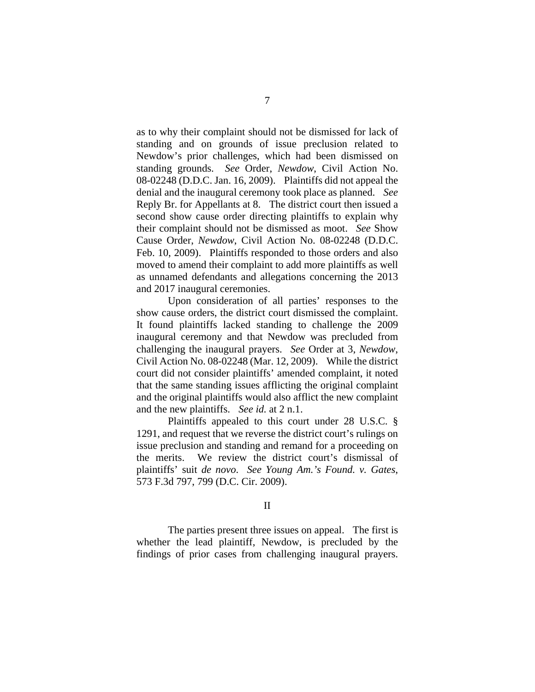as to why their complaint should not be dismissed for lack of standing and on grounds of issue preclusion related to Newdow's prior challenges, which had been dismissed on standing grounds. *See* Order, *Newdow*, Civil Action No. 08-02248 (D.D.C. Jan. 16, 2009). Plaintiffs did not appeal the denial and the inaugural ceremony took place as planned. *See*  Reply Br. for Appellants at 8. The district court then issued a second show cause order directing plaintiffs to explain why their complaint should not be dismissed as moot. *See* Show Cause Order, *Newdow*, Civil Action No. 08-02248 (D.D.C. Feb. 10, 2009). Plaintiffs responded to those orders and also moved to amend their complaint to add more plaintiffs as well as unnamed defendants and allegations concerning the 2013 and 2017 inaugural ceremonies.

Upon consideration of all parties' responses to the show cause orders, the district court dismissed the complaint. It found plaintiffs lacked standing to challenge the 2009 inaugural ceremony and that Newdow was precluded from challenging the inaugural prayers. *See* Order at 3, *Newdow*, Civil Action No. 08-02248 (Mar. 12, 2009). While the district court did not consider plaintiffs' amended complaint, it noted that the same standing issues afflicting the original complaint and the original plaintiffs would also afflict the new complaint and the new plaintiffs. *See id.* at 2 n.1.

Plaintiffs appealed to this court under 28 U.S.C. § 1291, and request that we reverse the district court's rulings on issue preclusion and standing and remand for a proceeding on the merits. We review the district court's dismissal of plaintiffs' suit *de novo*. *See Young Am.'s Found. v. Gates*, 573 F.3d 797, 799 (D.C. Cir. 2009).

#### II

The parties present three issues on appeal. The first is whether the lead plaintiff, Newdow, is precluded by the findings of prior cases from challenging inaugural prayers.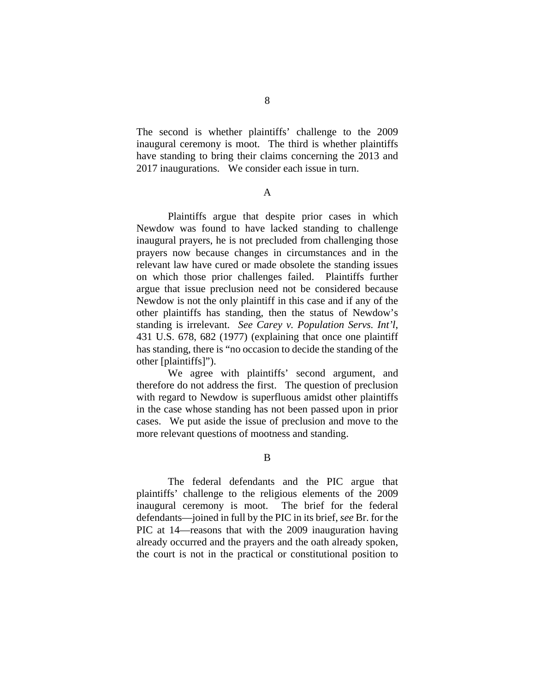The second is whether plaintiffs' challenge to the 2009 inaugural ceremony is moot. The third is whether plaintiffs have standing to bring their claims concerning the 2013 and 2017 inaugurations. We consider each issue in turn.

#### A

Plaintiffs argue that despite prior cases in which Newdow was found to have lacked standing to challenge inaugural prayers, he is not precluded from challenging those prayers now because changes in circumstances and in the relevant law have cured or made obsolete the standing issues on which those prior challenges failed. Plaintiffs further argue that issue preclusion need not be considered because Newdow is not the only plaintiff in this case and if any of the other plaintiffs has standing, then the status of Newdow's standing is irrelevant. *See Carey v. Population Servs. Int'l*, 431 U.S. 678, 682 (1977) (explaining that once one plaintiff has standing, there is "no occasion to decide the standing of the other [plaintiffs]").

We agree with plaintiffs' second argument, and therefore do not address the first. The question of preclusion with regard to Newdow is superfluous amidst other plaintiffs in the case whose standing has not been passed upon in prior cases. We put aside the issue of preclusion and move to the more relevant questions of mootness and standing.

#### B

The federal defendants and the PIC argue that plaintiffs' challenge to the religious elements of the 2009 inaugural ceremony is moot. The brief for the federal defendants—joined in full by the PIC in its brief, *see* Br. for the PIC at 14—reasons that with the 2009 inauguration having already occurred and the prayers and the oath already spoken, the court is not in the practical or constitutional position to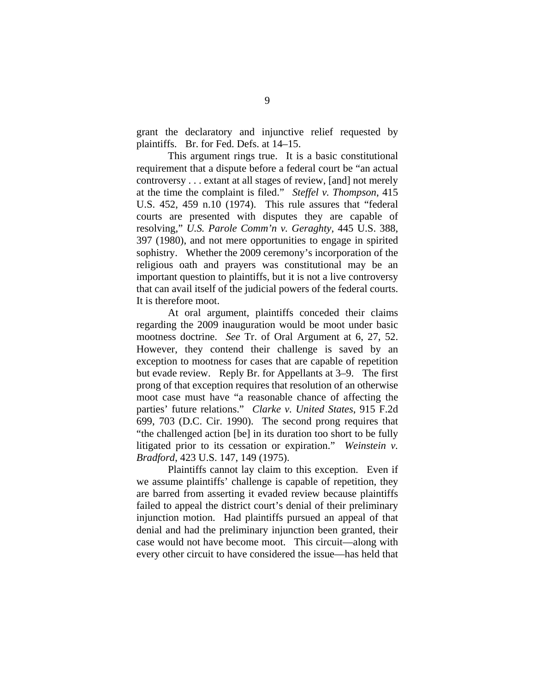grant the declaratory and injunctive relief requested by plaintiffs. Br. for Fed. Defs. at 14–15.

This argument rings true. It is a basic constitutional requirement that a dispute before a federal court be "an actual controversy . . . extant at all stages of review, [and] not merely at the time the complaint is filed." *Steffel v. Thompson*, 415 U.S. 452, 459 n.10 (1974). This rule assures that "federal courts are presented with disputes they are capable of resolving," *U.S. Parole Comm'n v. Geraghty*, 445 U.S. 388, 397 (1980), and not mere opportunities to engage in spirited sophistry. Whether the 2009 ceremony's incorporation of the religious oath and prayers was constitutional may be an important question to plaintiffs, but it is not a live controversy that can avail itself of the judicial powers of the federal courts. It is therefore moot.

At oral argument, plaintiffs conceded their claims regarding the 2009 inauguration would be moot under basic mootness doctrine. *See* Tr. of Oral Argument at 6, 27, 52. However, they contend their challenge is saved by an exception to mootness for cases that are capable of repetition but evade review. Reply Br. for Appellants at 3–9. The first prong of that exception requires that resolution of an otherwise moot case must have "a reasonable chance of affecting the parties' future relations." *Clarke v. United States*, 915 F.2d 699, 703 (D.C. Cir. 1990). The second prong requires that "the challenged action [be] in its duration too short to be fully litigated prior to its cessation or expiration." *Weinstein v. Bradford*, 423 U.S. 147, 149 (1975).

Plaintiffs cannot lay claim to this exception. Even if we assume plaintiffs' challenge is capable of repetition, they are barred from asserting it evaded review because plaintiffs failed to appeal the district court's denial of their preliminary injunction motion. Had plaintiffs pursued an appeal of that denial and had the preliminary injunction been granted, their case would not have become moot. This circuit—along with every other circuit to have considered the issue—has held that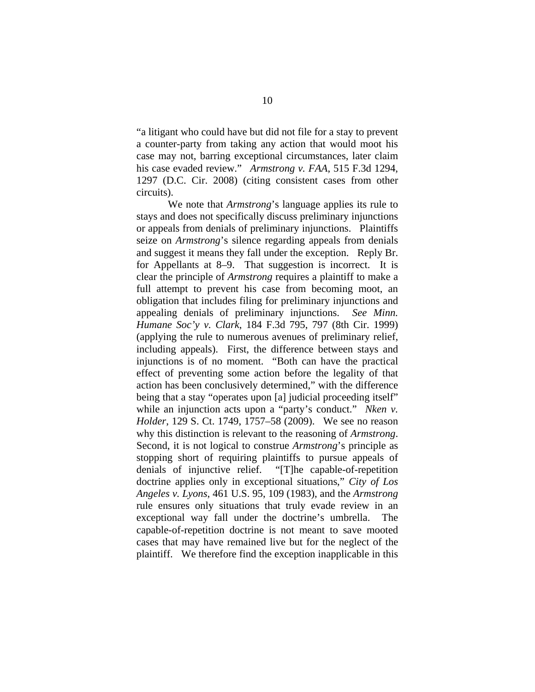"a litigant who could have but did not file for a stay to prevent a counter-party from taking any action that would moot his case may not, barring exceptional circumstances, later claim his case evaded review." *Armstrong v. FAA*, 515 F.3d 1294, 1297 (D.C. Cir. 2008) (citing consistent cases from other circuits).

We note that *Armstrong*'s language applies its rule to stays and does not specifically discuss preliminary injunctions or appeals from denials of preliminary injunctions. Plaintiffs seize on *Armstrong*'s silence regarding appeals from denials and suggest it means they fall under the exception. Reply Br. for Appellants at 8–9. That suggestion is incorrect. It is clear the principle of *Armstrong* requires a plaintiff to make a full attempt to prevent his case from becoming moot, an obligation that includes filing for preliminary injunctions and appealing denials of preliminary injunctions. *See Minn. Humane Soc'y v. Clark*, 184 F.3d 795, 797 (8th Cir. 1999) (applying the rule to numerous avenues of preliminary relief, including appeals). First, the difference between stays and injunctions is of no moment. "Both can have the practical effect of preventing some action before the legality of that action has been conclusively determined," with the difference being that a stay "operates upon [a] judicial proceeding itself" while an injunction acts upon a "party's conduct." *Nken v. Holder*, 129 S. Ct. 1749, 1757–58 (2009). We see no reason why this distinction is relevant to the reasoning of *Armstrong*. Second, it is not logical to construe *Armstrong*'s principle as stopping short of requiring plaintiffs to pursue appeals of denials of injunctive relief. "[T]he capable-of-repetition doctrine applies only in exceptional situations," *City of Los Angeles v. Lyons*, 461 U.S. 95, 109 (1983), and the *Armstrong*  rule ensures only situations that truly evade review in an exceptional way fall under the doctrine's umbrella. The capable-of-repetition doctrine is not meant to save mooted cases that may have remained live but for the neglect of the plaintiff. We therefore find the exception inapplicable in this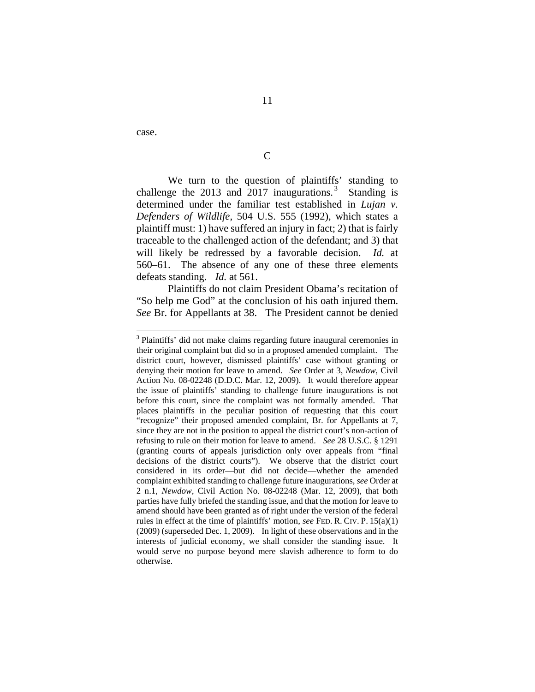case.

 $\overline{a}$ 

C

 We turn to the question of plaintiffs' standing to challenge the 2013 and  $2017$  inaugurations.<sup>3</sup> Standing is determined under the familiar test established in *Lujan v. Defenders of Wildlife*, 504 U.S. 555 (1992), which states a plaintiff must: 1) have suffered an injury in fact; 2) that is fairly traceable to the challenged action of the defendant; and 3) that will likely be redressed by a favorable decision. *Id.* at 560–61. The absence of any one of these three elements defeats standing. *Id.* at 561.

Plaintiffs do not claim President Obama's recitation of "So help me God" at the conclusion of his oath injured them. *See* Br. for Appellants at 38. The President cannot be denied

<sup>&</sup>lt;sup>3</sup> Plaintiffs' did not make claims regarding future inaugural ceremonies in their original complaint but did so in a proposed amended complaint. The district court, however, dismissed plaintiffs' case without granting or denying their motion for leave to amend. *See* Order at 3, *Newdow*, Civil Action No. 08-02248 (D.D.C. Mar. 12, 2009). It would therefore appear the issue of plaintiffs' standing to challenge future inaugurations is not before this court, since the complaint was not formally amended. That places plaintiffs in the peculiar position of requesting that this court "recognize" their proposed amended complaint, Br. for Appellants at 7, since they are not in the position to appeal the district court's non-action of refusing to rule on their motion for leave to amend. *See* 28 U.S.C. § 1291 (granting courts of appeals jurisdiction only over appeals from "final decisions of the district courts"). We observe that the district court considered in its order—but did not decide—whether the amended complaint exhibited standing to challenge future inaugurations, *see* Order at 2 n.1, *Newdow*, Civil Action No. 08-02248 (Mar. 12, 2009), that both parties have fully briefed the standing issue, and that the motion for leave to amend should have been granted as of right under the version of the federal rules in effect at the time of plaintiffs' motion, *see* FED. R. CIV. P. 15(a)(1) (2009) (superseded Dec. 1, 2009). In light of these observations and in the interests of judicial economy, we shall consider the standing issue. It would serve no purpose beyond mere slavish adherence to form to do otherwise.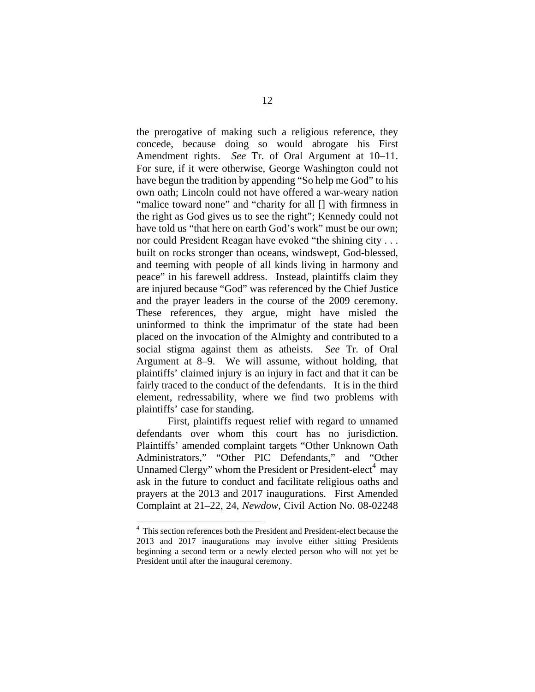the prerogative of making such a religious reference, they concede, because doing so would abrogate his First Amendment rights. *See* Tr. of Oral Argument at 10–11. For sure, if it were otherwise, George Washington could not have begun the tradition by appending "So help me God" to his own oath; Lincoln could not have offered a war-weary nation "malice toward none" and "charity for all [] with firmness in the right as God gives us to see the right"; Kennedy could not have told us "that here on earth God's work" must be our own; nor could President Reagan have evoked "the shining city . . . built on rocks stronger than oceans, windswept, God-blessed, and teeming with people of all kinds living in harmony and peace" in his farewell address. Instead, plaintiffs claim they are injured because "God" was referenced by the Chief Justice and the prayer leaders in the course of the 2009 ceremony. These references, they argue, might have misled the uninformed to think the imprimatur of the state had been placed on the invocation of the Almighty and contributed to a social stigma against them as atheists. *See* Tr. of Oral Argument at 8–9. We will assume, without holding, that plaintiffs' claimed injury is an injury in fact and that it can be fairly traced to the conduct of the defendants. It is in the third element, redressability, where we find two problems with plaintiffs' case for standing.

First, plaintiffs request relief with regard to unnamed defendants over whom this court has no jurisdiction. Plaintiffs' amended complaint targets "Other Unknown Oath Administrators," "Other PIC Defendants," and "Other Unnamed Clergy" whom the President or President-elect $4$  may ask in the future to conduct and facilitate religious oaths and prayers at the 2013 and 2017 inaugurations. First Amended Complaint at 21–22, 24, *Newdow*, Civil Action No. 08-02248

 $\overline{a}$ 

<sup>&</sup>lt;sup>4</sup> This section references both the President and President-elect because the 2013 and 2017 inaugurations may involve either sitting Presidents beginning a second term or a newly elected person who will not yet be President until after the inaugural ceremony.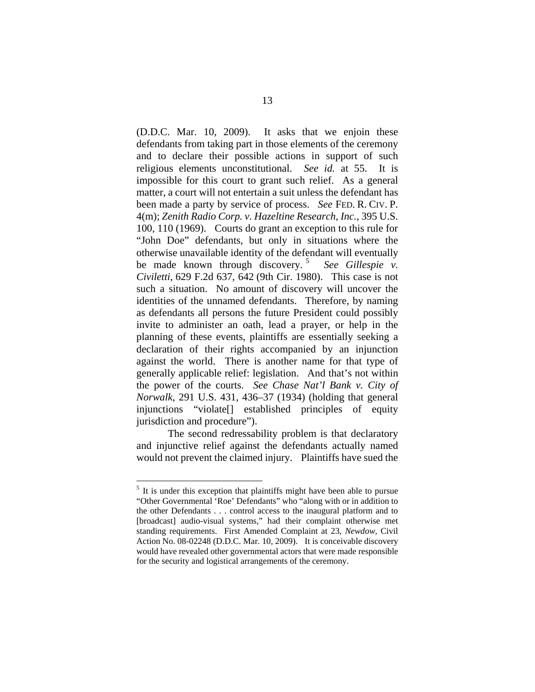(D.D.C. Mar. 10, 2009). It asks that we enjoin these defendants from taking part in those elements of the ceremony and to declare their possible actions in support of such religious elements unconstitutional. *See id.* at 55. It is impossible for this court to grant such relief. As a general matter, a court will not entertain a suit unless the defendant has been made a party by service of process. *See* FED. R. CIV. P. 4(m); *Zenith Radio Corp. v. Hazeltine Research, Inc.*, 395 U.S. 100, 110 (1969). Courts do grant an exception to this rule for "John Doe" defendants, but only in situations where the otherwise unavailable identity of the defendant will eventually be made known through discovery. 5 *See Gillespie v. Civiletti*, 629 F.2d 637, 642 (9th Cir. 1980). This case is not such a situation. No amount of discovery will uncover the identities of the unnamed defendants. Therefore, by naming as defendants all persons the future President could possibly invite to administer an oath, lead a prayer, or help in the planning of these events, plaintiffs are essentially seeking a declaration of their rights accompanied by an injunction against the world. There is another name for that type of generally applicable relief: legislation. And that's not within the power of the courts. *See Chase Nat'l Bank v. City of Norwalk*, 291 U.S. 431, 436–37 (1934) (holding that general injunctions "violate[] established principles of equity jurisdiction and procedure").

The second redressability problem is that declaratory and injunctive relief against the defendants actually named would not prevent the claimed injury. Plaintiffs have sued the

 $\overline{a}$ 

<sup>&</sup>lt;sup>5</sup> It is under this exception that plaintiffs might have been able to pursue "Other Governmental 'Roe' Defendants" who "along with or in addition to the other Defendants . . . control access to the inaugural platform and to [broadcast] audio-visual systems," had their complaint otherwise met standing requirements. First Amended Complaint at 23, *Newdow*, Civil Action No. 08-02248 (D.D.C. Mar. 10, 2009). It is conceivable discovery would have revealed other governmental actors that were made responsible for the security and logistical arrangements of the ceremony.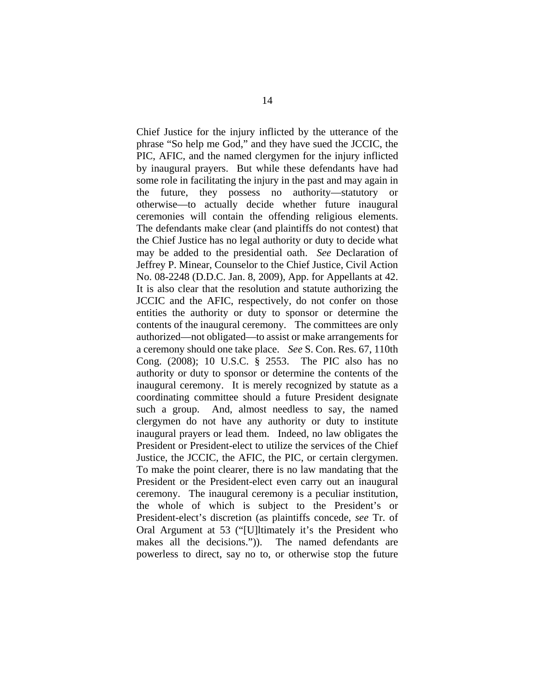Chief Justice for the injury inflicted by the utterance of the phrase "So help me God," and they have sued the JCCIC, the PIC, AFIC, and the named clergymen for the injury inflicted by inaugural prayers. But while these defendants have had some role in facilitating the injury in the past and may again in the future, they possess no authority—statutory or otherwise—to actually decide whether future inaugural ceremonies will contain the offending religious elements. The defendants make clear (and plaintiffs do not contest) that the Chief Justice has no legal authority or duty to decide what may be added to the presidential oath. *See* Declaration of Jeffrey P. Minear, Counselor to the Chief Justice, Civil Action No. 08-2248 (D.D.C. Jan. 8, 2009), App. for Appellants at 42. It is also clear that the resolution and statute authorizing the JCCIC and the AFIC, respectively, do not confer on those entities the authority or duty to sponsor or determine the contents of the inaugural ceremony. The committees are only authorized—not obligated—to assist or make arrangements for a ceremony should one take place. *See* S. Con. Res. 67, 110th Cong. (2008); 10 U.S.C. § 2553. The PIC also has no authority or duty to sponsor or determine the contents of the inaugural ceremony. It is merely recognized by statute as a coordinating committee should a future President designate such a group. And, almost needless to say, the named clergymen do not have any authority or duty to institute inaugural prayers or lead them. Indeed, no law obligates the President or President-elect to utilize the services of the Chief Justice, the JCCIC, the AFIC, the PIC, or certain clergymen. To make the point clearer, there is no law mandating that the President or the President-elect even carry out an inaugural ceremony. The inaugural ceremony is a peculiar institution, the whole of which is subject to the President's or President-elect's discretion (as plaintiffs concede, *see* Tr. of Oral Argument at 53 ("[U]ltimately it's the President who makes all the decisions.")). The named defendants are powerless to direct, say no to, or otherwise stop the future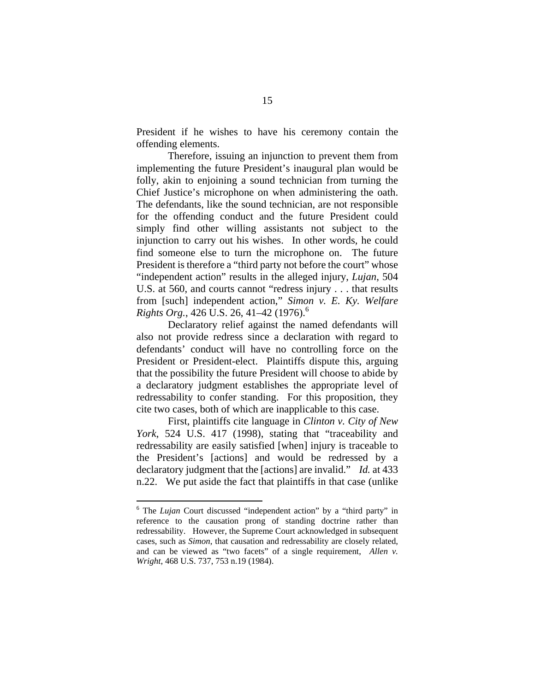President if he wishes to have his ceremony contain the offending elements.

Therefore, issuing an injunction to prevent them from implementing the future President's inaugural plan would be folly, akin to enjoining a sound technician from turning the Chief Justice's microphone on when administering the oath. The defendants, like the sound technician, are not responsible for the offending conduct and the future President could simply find other willing assistants not subject to the injunction to carry out his wishes. In other words, he could find someone else to turn the microphone on. The future President is therefore a "third party not before the court" whose "independent action" results in the alleged injury, *Lujan*, 504 U.S. at 560, and courts cannot "redress injury . . . that results from [such] independent action," *Simon v. E. Ky. Welfare Rights Org.*, 426 U.S. 26, 41–42 (1976).<sup>6</sup>

Declaratory relief against the named defendants will also not provide redress since a declaration with regard to defendants' conduct will have no controlling force on the President or President-elect. Plaintiffs dispute this, arguing that the possibility the future President will choose to abide by a declaratory judgment establishes the appropriate level of redressability to confer standing. For this proposition, they cite two cases, both of which are inapplicable to this case.

First, plaintiffs cite language in *Clinton v. City of New York*, 524 U.S. 417 (1998), stating that "traceability and redressability are easily satisfied [when] injury is traceable to the President's [actions] and would be redressed by a declaratory judgment that the [actions] are invalid." *Id.* at 433 n.22. We put aside the fact that plaintiffs in that case (unlike

 $\overline{a}$ 

<sup>&</sup>lt;sup>6</sup> The *Lujan* Court discussed "independent action" by a "third party" in reference to the causation prong of standing doctrine rather than redressability. However, the Supreme Court acknowledged in subsequent cases, such as *Simon*, that causation and redressability are closely related, and can be viewed as "two facets" of a single requirement, *Allen v. Wright*, 468 U.S. 737, 753 n.19 (1984).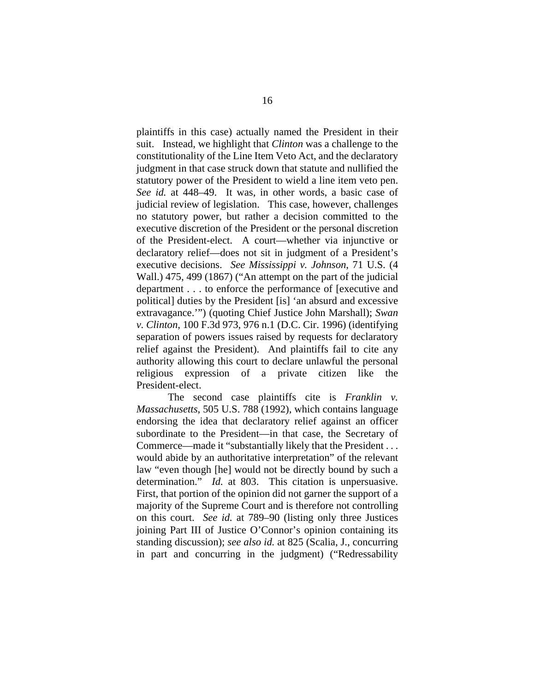plaintiffs in this case) actually named the President in their suit. Instead, we highlight that *Clinton* was a challenge to the constitutionality of the Line Item Veto Act, and the declaratory judgment in that case struck down that statute and nullified the statutory power of the President to wield a line item veto pen. *See id.* at 448–49. It was, in other words, a basic case of judicial review of legislation. This case, however, challenges no statutory power, but rather a decision committed to the executive discretion of the President or the personal discretion of the President-elect. A court—whether via injunctive or declaratory relief—does not sit in judgment of a President's executive decisions. *See Mississippi v. Johnson*, 71 U.S. (4 Wall.) 475, 499 (1867) ("An attempt on the part of the judicial department . . . to enforce the performance of [executive and political] duties by the President [is] 'an absurd and excessive extravagance.'") (quoting Chief Justice John Marshall); *Swan v. Clinton*, 100 F.3d 973, 976 n.1 (D.C. Cir. 1996) (identifying separation of powers issues raised by requests for declaratory relief against the President). And plaintiffs fail to cite any authority allowing this court to declare unlawful the personal religious expression of a private citizen like the President-elect.

The second case plaintiffs cite is *Franklin v. Massachusetts*, 505 U.S. 788 (1992), which contains language endorsing the idea that declaratory relief against an officer subordinate to the President—in that case, the Secretary of Commerce—made it "substantially likely that the President . . . would abide by an authoritative interpretation" of the relevant law "even though [he] would not be directly bound by such a determination." *Id.* at 803. This citation is unpersuasive. First, that portion of the opinion did not garner the support of a majority of the Supreme Court and is therefore not controlling on this court. *See id.* at 789–90 (listing only three Justices joining Part III of Justice O'Connor's opinion containing its standing discussion); *see also id.* at 825 (Scalia, J., concurring in part and concurring in the judgment) ("Redressability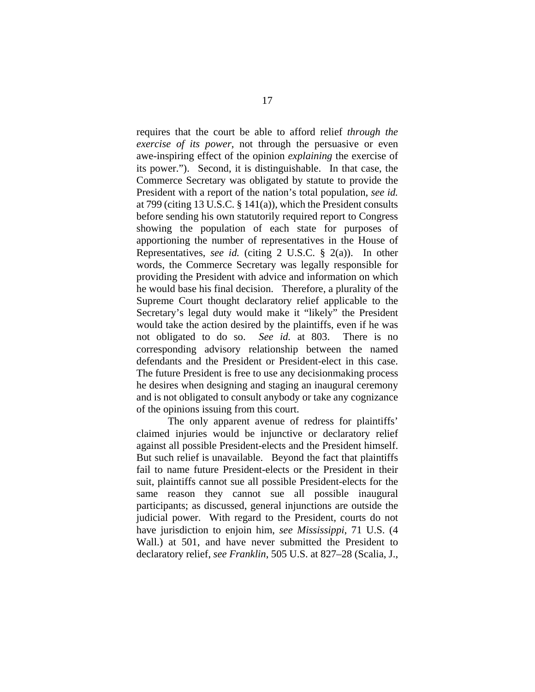requires that the court be able to afford relief *through the exercise of its power*, not through the persuasive or even awe-inspiring effect of the opinion *explaining* the exercise of its power."). Second, it is distinguishable. In that case, the Commerce Secretary was obligated by statute to provide the President with a report of the nation's total population, *see id.*  at 799 (citing 13 U.S.C. § 141(a)), which the President consults before sending his own statutorily required report to Congress showing the population of each state for purposes of apportioning the number of representatives in the House of Representatives, *see id.* (citing 2 U.S.C. § 2(a)). In other words, the Commerce Secretary was legally responsible for providing the President with advice and information on which he would base his final decision. Therefore, a plurality of the Supreme Court thought declaratory relief applicable to the Secretary's legal duty would make it "likely" the President would take the action desired by the plaintiffs, even if he was not obligated to do so. *See id.* at 803. There is no corresponding advisory relationship between the named defendants and the President or President-elect in this case. The future President is free to use any decisionmaking process he desires when designing and staging an inaugural ceremony and is not obligated to consult anybody or take any cognizance of the opinions issuing from this court.

The only apparent avenue of redress for plaintiffs' claimed injuries would be injunctive or declaratory relief against all possible President-elects and the President himself. But such relief is unavailable. Beyond the fact that plaintiffs fail to name future President-elects or the President in their suit, plaintiffs cannot sue all possible President-elects for the same reason they cannot sue all possible inaugural participants; as discussed, general injunctions are outside the judicial power. With regard to the President, courts do not have jurisdiction to enjoin him, *see Mississippi*, 71 U.S. (4 Wall.) at 501, and have never submitted the President to declaratory relief, *see Franklin*, 505 U.S. at 827–28 (Scalia, J.,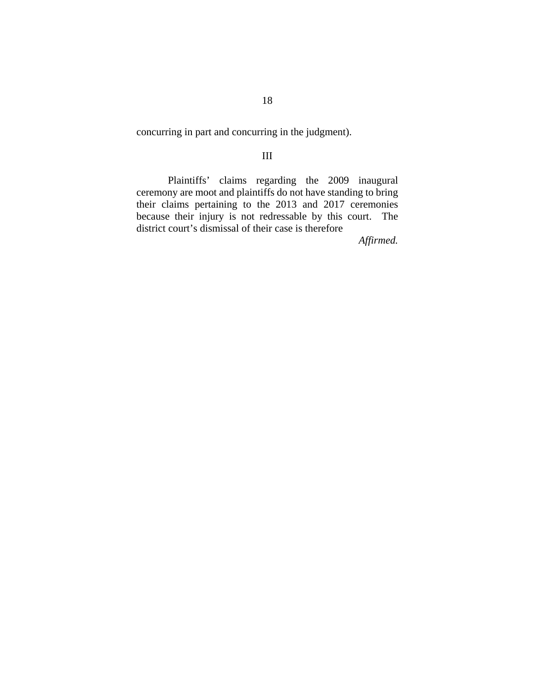concurring in part and concurring in the judgment).

## III

 Plaintiffs' claims regarding the 2009 inaugural ceremony are moot and plaintiffs do not have standing to bring their claims pertaining to the 2013 and 2017 ceremonies because their injury is not redressable by this court. The district court's dismissal of their case is therefore

*Affirmed.*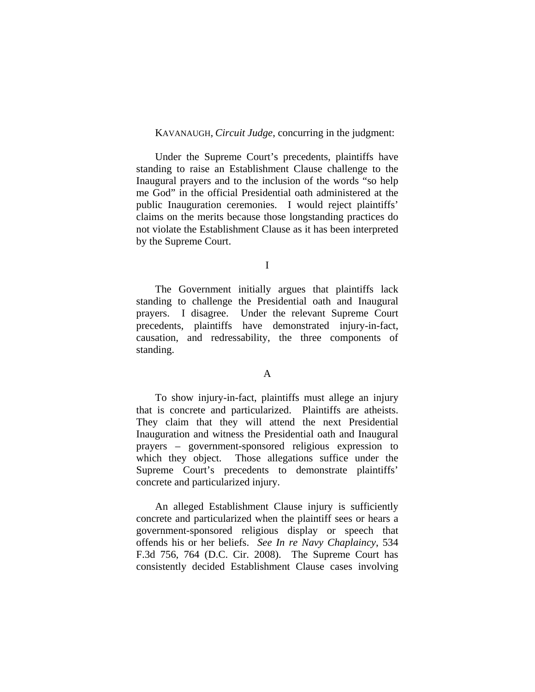#### KAVANAUGH, *Circuit Judge*, concurring in the judgment:

 Under the Supreme Court's precedents, plaintiffs have standing to raise an Establishment Clause challenge to the Inaugural prayers and to the inclusion of the words "so help me God" in the official Presidential oath administered at the public Inauguration ceremonies. I would reject plaintiffs' claims on the merits because those longstanding practices do not violate the Establishment Clause as it has been interpreted by the Supreme Court.

I

 The Government initially argues that plaintiffs lack standing to challenge the Presidential oath and Inaugural prayers. I disagree. Under the relevant Supreme Court precedents, plaintiffs have demonstrated injury-in-fact, causation, and redressability, the three components of standing.

## A

 To show injury-in-fact, plaintiffs must allege an injury that is concrete and particularized. Plaintiffs are atheists. They claim that they will attend the next Presidential Inauguration and witness the Presidential oath and Inaugural prayers – government-sponsored religious expression to which they object. Those allegations suffice under the Supreme Court's precedents to demonstrate plaintiffs' concrete and particularized injury.

 An alleged Establishment Clause injury is sufficiently concrete and particularized when the plaintiff sees or hears a government-sponsored religious display or speech that offends his or her beliefs. *See In re Navy Chaplaincy*, 534 F.3d 756, 764 (D.C. Cir. 2008). The Supreme Court has consistently decided Establishment Clause cases involving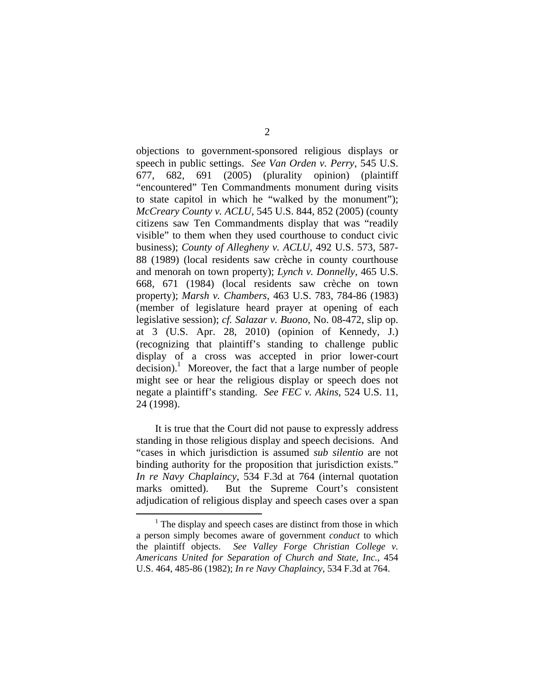objections to government-sponsored religious displays or speech in public settings. *See Van Orden v. Perry*, 545 U.S. 677, 682, 691 (2005) (plurality opinion) (plaintiff "encountered" Ten Commandments monument during visits to state capitol in which he "walked by the monument"); *McCreary County v. ACLU*, 545 U.S. 844, 852 (2005) (county citizens saw Ten Commandments display that was "readily visible" to them when they used courthouse to conduct civic business); *County of Allegheny v. ACLU*, 492 U.S. 573, 587- 88 (1989) (local residents saw crèche in county courthouse and menorah on town property); *Lynch v. Donnelly*, 465 U.S. 668, 671 (1984) (local residents saw crèche on town property); *Marsh v. Chambers*, 463 U.S. 783, 784-86 (1983) (member of legislature heard prayer at opening of each legislative session); *cf. Salazar v. Buono*, No. 08-472, slip op. at 3 (U.S. Apr. 28, 2010) (opinion of Kennedy, J.) (recognizing that plaintiff's standing to challenge public display of a cross was accepted in prior lower-court decision).<sup>1</sup> Moreover, the fact that a large number of people might see or hear the religious display or speech does not negate a plaintiff's standing. *See FEC v. Akins*, 524 U.S. 11, 24 (1998).

 It is true that the Court did not pause to expressly address standing in those religious display and speech decisions. And "cases in which jurisdiction is assumed *sub silentio* are not binding authority for the proposition that jurisdiction exists." *In re Navy Chaplaincy*, 534 F.3d at 764 (internal quotation marks omitted). But the Supreme Court's consistent adjudication of religious display and speech cases over a span

 <sup>1</sup>  $<sup>1</sup>$  The display and speech cases are distinct from those in which</sup> a person simply becomes aware of government *conduct* to which the plaintiff objects. *See Valley Forge Christian College v. Americans United for Separation of Church and State, Inc.*, 454 U.S. 464, 485-86 (1982); *In re Navy Chaplaincy*, 534 F.3d at 764.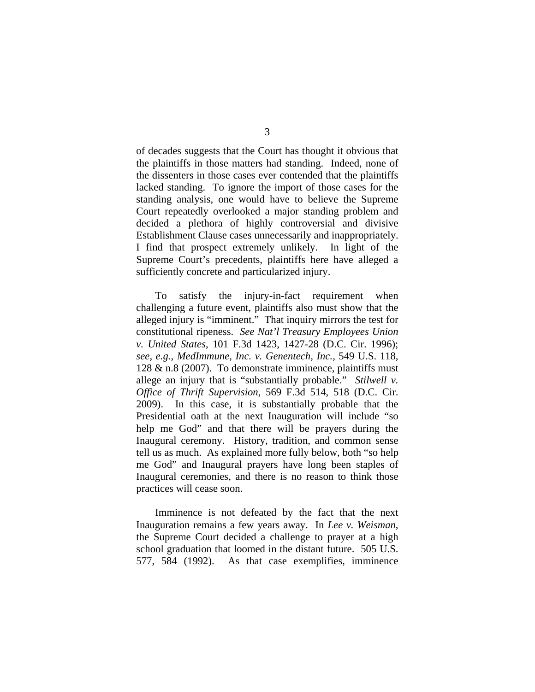of decades suggests that the Court has thought it obvious that the plaintiffs in those matters had standing. Indeed, none of the dissenters in those cases ever contended that the plaintiffs lacked standing. To ignore the import of those cases for the standing analysis, one would have to believe the Supreme Court repeatedly overlooked a major standing problem and decided a plethora of highly controversial and divisive Establishment Clause cases unnecessarily and inappropriately. I find that prospect extremely unlikely. In light of the Supreme Court's precedents, plaintiffs here have alleged a sufficiently concrete and particularized injury.

 To satisfy the injury-in-fact requirement when challenging a future event, plaintiffs also must show that the alleged injury is "imminent." That inquiry mirrors the test for constitutional ripeness. *See Nat'l Treasury Employees Union v. United States*, 101 F.3d 1423, 1427-28 (D.C. Cir. 1996); *see, e.g.*, *MedImmune, Inc. v. Genentech, Inc.*, 549 U.S. 118, 128 & n.8 (2007). To demonstrate imminence, plaintiffs must allege an injury that is "substantially probable." *Stilwell v. Office of Thrift Supervision*, 569 F.3d 514, 518 (D.C. Cir. 2009). In this case, it is substantially probable that the Presidential oath at the next Inauguration will include "so help me God" and that there will be prayers during the Inaugural ceremony. History, tradition, and common sense tell us as much. As explained more fully below, both "so help me God" and Inaugural prayers have long been staples of Inaugural ceremonies, and there is no reason to think those practices will cease soon.

 Imminence is not defeated by the fact that the next Inauguration remains a few years away. In *Lee v. Weisman*, the Supreme Court decided a challenge to prayer at a high school graduation that loomed in the distant future. 505 U.S. 577, 584 (1992). As that case exemplifies, imminence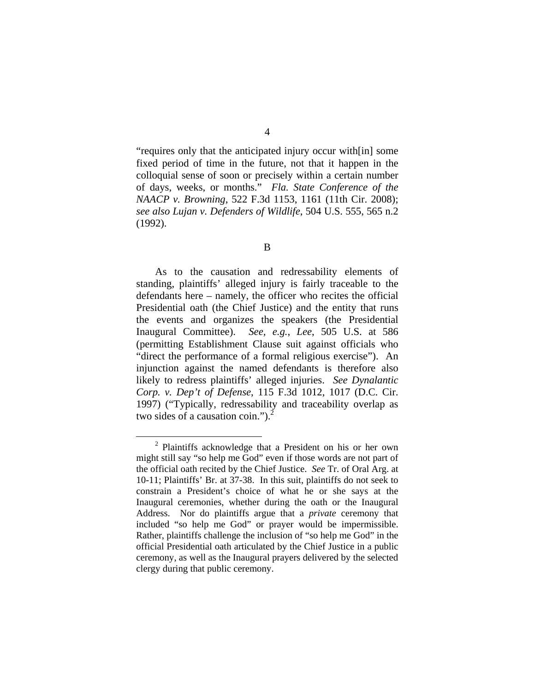"requires only that the anticipated injury occur with[in] some fixed period of time in the future, not that it happen in the colloquial sense of soon or precisely within a certain number of days, weeks, or months." *Fla. State Conference of the NAACP v. Browning*, 522 F.3d 1153, 1161 (11th Cir. 2008); *see also Lujan v. Defenders of Wildlife*, 504 U.S. 555, 565 n.2 (1992).

 As to the causation and redressability elements of standing, plaintiffs' alleged injury is fairly traceable to the defendants here – namely, the officer who recites the official Presidential oath (the Chief Justice) and the entity that runs the events and organizes the speakers (the Presidential Inaugural Committee). *See, e.g.*, *Lee*, 505 U.S. at 586 (permitting Establishment Clause suit against officials who "direct the performance of a formal religious exercise"). An injunction against the named defendants is therefore also likely to redress plaintiffs' alleged injuries. *See Dynalantic Corp. v. Dep't of Defense*, 115 F.3d 1012, 1017 (D.C. Cir. 1997) ("Typically, redressability and traceability overlap as two sides of a causation coin." $)^2$ 

 $\frac{1}{2}$  $2$  Plaintiffs acknowledge that a President on his or her own might still say "so help me God" even if those words are not part of the official oath recited by the Chief Justice. *See* Tr. of Oral Arg. at 10-11; Plaintiffs' Br. at 37-38. In this suit, plaintiffs do not seek to constrain a President's choice of what he or she says at the Inaugural ceremonies, whether during the oath or the Inaugural Address. Nor do plaintiffs argue that a *private* ceremony that included "so help me God" or prayer would be impermissible. Rather, plaintiffs challenge the inclusion of "so help me God" in the official Presidential oath articulated by the Chief Justice in a public ceremony, as well as the Inaugural prayers delivered by the selected clergy during that public ceremony.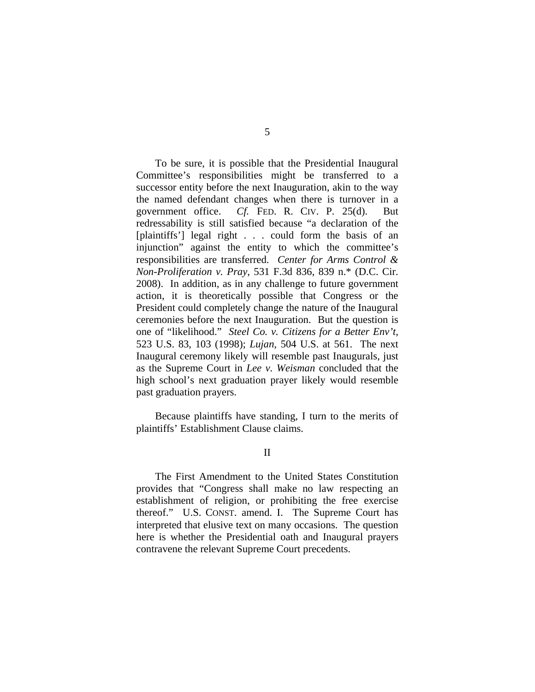To be sure, it is possible that the Presidential Inaugural Committee's responsibilities might be transferred to a successor entity before the next Inauguration, akin to the way the named defendant changes when there is turnover in a government office. *Cf.* FED. R. CIV. P. 25(d). But redressability is still satisfied because "a declaration of the [plaintiffs'] legal right . . . could form the basis of an injunction" against the entity to which the committee's responsibilities are transferred. *Center for Arms Control & Non-Proliferation v. Pray*, 531 F.3d 836, 839 n.\* (D.C. Cir. 2008). In addition, as in any challenge to future government action, it is theoretically possible that Congress or the President could completely change the nature of the Inaugural ceremonies before the next Inauguration. But the question is one of "likelihood." *Steel Co. v. Citizens for a Better Env't*, 523 U.S. 83, 103 (1998); *Lujan*, 504 U.S. at 561. The next Inaugural ceremony likely will resemble past Inaugurals, just as the Supreme Court in *Lee v. Weisman* concluded that the high school's next graduation prayer likely would resemble past graduation prayers.

 Because plaintiffs have standing, I turn to the merits of plaintiffs' Establishment Clause claims.

#### II

 The First Amendment to the United States Constitution provides that "Congress shall make no law respecting an establishment of religion, or prohibiting the free exercise thereof." U.S. CONST. amend. I. The Supreme Court has interpreted that elusive text on many occasions. The question here is whether the Presidential oath and Inaugural prayers contravene the relevant Supreme Court precedents.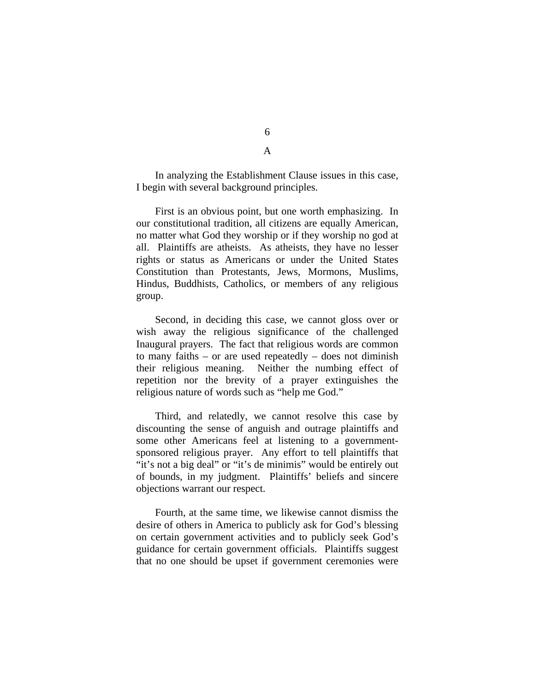In analyzing the Establishment Clause issues in this case, I begin with several background principles.

 First is an obvious point, but one worth emphasizing. In our constitutional tradition, all citizens are equally American, no matter what God they worship or if they worship no god at all. Plaintiffs are atheists. As atheists, they have no lesser rights or status as Americans or under the United States Constitution than Protestants, Jews, Mormons, Muslims, Hindus, Buddhists, Catholics, or members of any religious group.

 Second, in deciding this case, we cannot gloss over or wish away the religious significance of the challenged Inaugural prayers. The fact that religious words are common to many faiths – or are used repeatedly – does not diminish their religious meaning. Neither the numbing effect of repetition nor the brevity of a prayer extinguishes the religious nature of words such as "help me God."

 Third, and relatedly, we cannot resolve this case by discounting the sense of anguish and outrage plaintiffs and some other Americans feel at listening to a governmentsponsored religious prayer. Any effort to tell plaintiffs that "it's not a big deal" or "it's de minimis" would be entirely out of bounds, in my judgment. Plaintiffs' beliefs and sincere objections warrant our respect.

 Fourth, at the same time, we likewise cannot dismiss the desire of others in America to publicly ask for God's blessing on certain government activities and to publicly seek God's guidance for certain government officials. Plaintiffs suggest that no one should be upset if government ceremonies were

6 A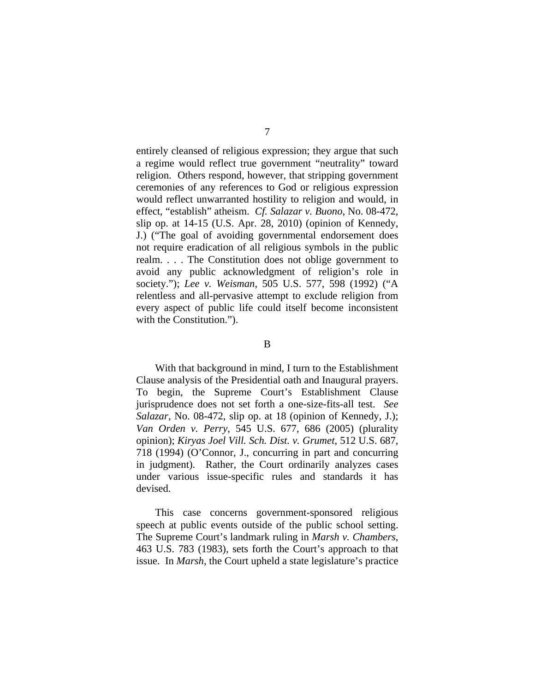entirely cleansed of religious expression; they argue that such a regime would reflect true government "neutrality" toward religion. Others respond, however, that stripping government ceremonies of any references to God or religious expression would reflect unwarranted hostility to religion and would, in effect, "establish" atheism. *Cf. Salazar v. Buono*, No. 08-472, slip op. at 14-15 (U.S. Apr. 28, 2010) (opinion of Kennedy, J.) ("The goal of avoiding governmental endorsement does not require eradication of all religious symbols in the public realm. . . . The Constitution does not oblige government to avoid any public acknowledgment of religion's role in society."); *Lee v. Weisman*, 505 U.S. 577, 598 (1992) ("A relentless and all-pervasive attempt to exclude religion from every aspect of public life could itself become inconsistent with the Constitution.").

#### B

 With that background in mind, I turn to the Establishment Clause analysis of the Presidential oath and Inaugural prayers. To begin, the Supreme Court's Establishment Clause jurisprudence does not set forth a one-size-fits-all test. *See Salazar*, No. 08-472, slip op. at 18 (opinion of Kennedy, J.); *Van Orden v. Perry*, 545 U.S. 677, 686 (2005) (plurality opinion); *Kiryas Joel Vill. Sch. Dist. v. Grumet*, 512 U.S. 687, 718 (1994) (O'Connor, J., concurring in part and concurring in judgment). Rather, the Court ordinarily analyzes cases under various issue-specific rules and standards it has devised.

 This case concerns government-sponsored religious speech at public events outside of the public school setting. The Supreme Court's landmark ruling in *Marsh v. Chambers*, 463 U.S. 783 (1983), sets forth the Court's approach to that issue. In *Marsh*, the Court upheld a state legislature's practice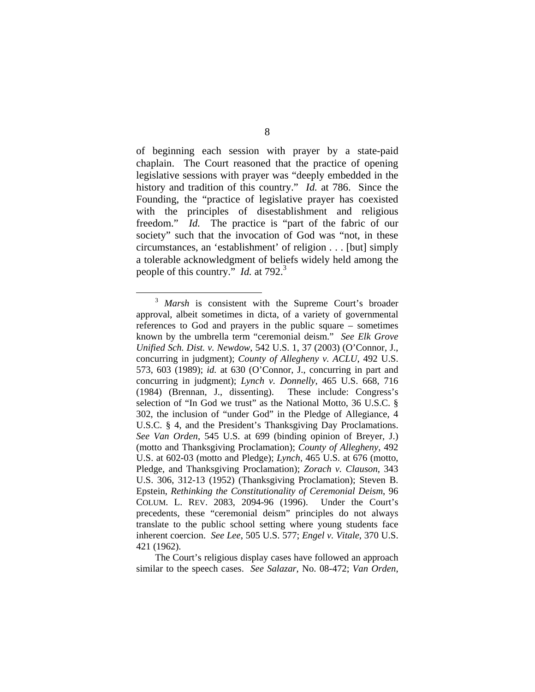of beginning each session with prayer by a state-paid chaplain. The Court reasoned that the practice of opening legislative sessions with prayer was "deeply embedded in the history and tradition of this country." *Id.* at 786. Since the Founding, the "practice of legislative prayer has coexisted with the principles of disestablishment and religious freedom." *Id.* The practice is "part of the fabric of our society" such that the invocation of God was "not, in these circumstances, an 'establishment' of religion . . . [but] simply a tolerable acknowledgment of beliefs widely held among the people of this country." *Id.* at 792.<sup>3</sup>

The Court's religious display cases have followed an approach similar to the speech cases. *See Salazar*, No. 08-472; *Van Orden*,

<sup>&</sup>lt;sup>3</sup> *Marsh* is consistent with the Supreme Court's broader approval, albeit sometimes in dicta, of a variety of governmental references to God and prayers in the public square – sometimes known by the umbrella term "ceremonial deism." *See Elk Grove Unified Sch. Dist. v. Newdow*, 542 U.S. 1, 37 (2003) (O'Connor, J., concurring in judgment); *County of Allegheny v. ACLU*, 492 U.S. 573, 603 (1989); *id.* at 630 (O'Connor, J., concurring in part and concurring in judgment); *Lynch v. Donnelly*, 465 U.S. 668, 716 (1984) (Brennan, J., dissenting). These include: Congress's selection of "In God we trust" as the National Motto, 36 U.S.C. § 302, the inclusion of "under God" in the Pledge of Allegiance, 4 U.S.C. § 4, and the President's Thanksgiving Day Proclamations. *See Van Orden*, 545 U.S. at 699 (binding opinion of Breyer, J.) (motto and Thanksgiving Proclamation); *County of Allegheny*, 492 U.S. at 602-03 (motto and Pledge); *Lynch*, 465 U.S. at 676 (motto, Pledge, and Thanksgiving Proclamation); *Zorach v. Clauson*, 343 U.S. 306, 312-13 (1952) (Thanksgiving Proclamation); Steven B. Epstein, *Rethinking the Constitutionality of Ceremonial Deism*, 96 COLUM. L. REV. 2083, 2094-96 (1996). Under the Court's precedents, these "ceremonial deism" principles do not always translate to the public school setting where young students face inherent coercion. *See Lee*, 505 U.S. 577; *Engel v. Vitale*, 370 U.S. 421 (1962).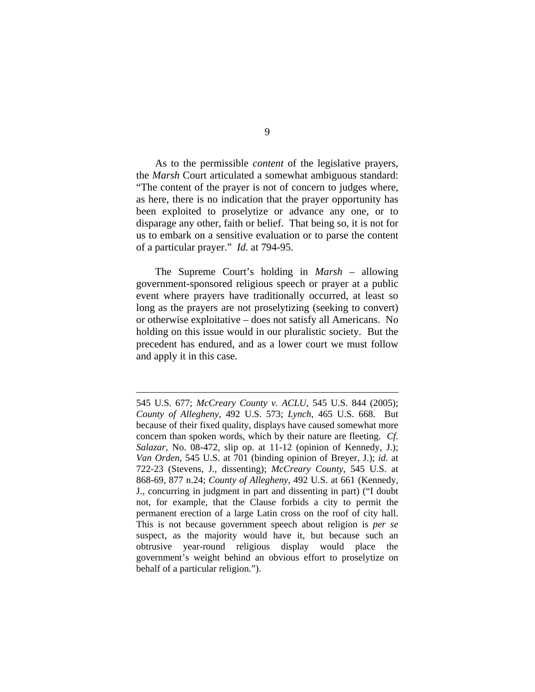As to the permissible *content* of the legislative prayers, the *Marsh* Court articulated a somewhat ambiguous standard: "The content of the prayer is not of concern to judges where, as here, there is no indication that the prayer opportunity has been exploited to proselytize or advance any one, or to disparage any other, faith or belief. That being so, it is not for us to embark on a sensitive evaluation or to parse the content of a particular prayer." *Id.* at 794-95.

 The Supreme Court's holding in *Marsh* – allowing government-sponsored religious speech or prayer at a public event where prayers have traditionally occurred, at least so long as the prayers are not proselytizing (seeking to convert) or otherwise exploitative – does not satisfy all Americans. No holding on this issue would in our pluralistic society. But the precedent has endured, and as a lower court we must follow and apply it in this case.

 $\overline{a}$ 

<sup>545</sup> U.S. 677; *McCreary County v. ACLU*, 545 U.S. 844 (2005); *County of Allegheny*, 492 U.S. 573; *Lynch*, 465 U.S. 668. But because of their fixed quality, displays have caused somewhat more concern than spoken words, which by their nature are fleeting. *Cf. Salazar*, No. 08-472, slip op. at 11-12 (opinion of Kennedy, J.); *Van Orden*, 545 U.S. at 701 (binding opinion of Breyer, J.); *id.* at 722-23 (Stevens, J., dissenting); *McCreary County*, 545 U.S. at 868-69, 877 n.24; *County of Allegheny*, 492 U.S. at 661 (Kennedy, J., concurring in judgment in part and dissenting in part) ("I doubt not, for example, that the Clause forbids a city to permit the permanent erection of a large Latin cross on the roof of city hall. This is not because government speech about religion is *per se*  suspect, as the majority would have it, but because such an obtrusive year-round religious display would place the government's weight behind an obvious effort to proselytize on behalf of a particular religion.").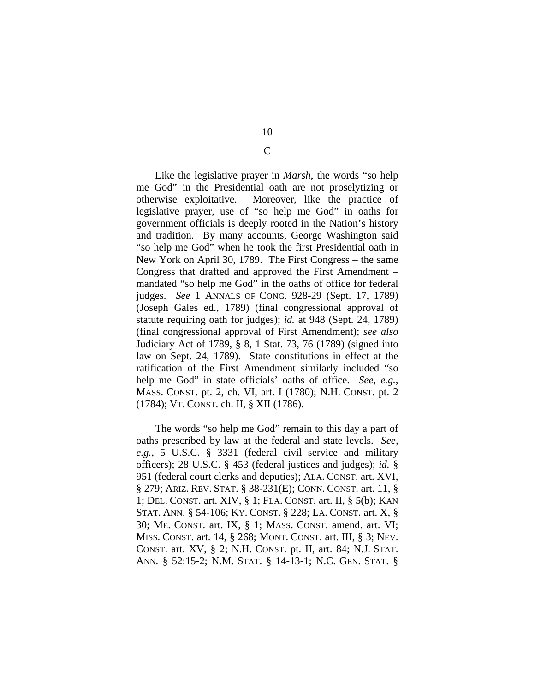Like the legislative prayer in *Marsh*, the words "so help me God" in the Presidential oath are not proselytizing or otherwise exploitative. Moreover, like the practice of legislative prayer, use of "so help me God" in oaths for government officials is deeply rooted in the Nation's history and tradition. By many accounts, George Washington said "so help me God" when he took the first Presidential oath in New York on April 30, 1789. The First Congress – the same Congress that drafted and approved the First Amendment – mandated "so help me God" in the oaths of office for federal judges. *See* 1 ANNALS OF CONG. 928-29 (Sept. 17, 1789) (Joseph Gales ed., 1789) (final congressional approval of statute requiring oath for judges); *id.* at 948 (Sept. 24, 1789) (final congressional approval of First Amendment); *see also* Judiciary Act of 1789, § 8, 1 Stat. 73, 76 (1789) (signed into law on Sept. 24, 1789). State constitutions in effect at the ratification of the First Amendment similarly included "so help me God" in state officials' oaths of office. *See, e.g.*, MASS. CONST. pt. 2, ch. VI, art. I (1780); N.H. CONST. pt. 2 (1784); VT. CONST. ch. II, § XII (1786).

 The words "so help me God" remain to this day a part of oaths prescribed by law at the federal and state levels. *See, e.g.*, 5 U.S.C. § 3331 (federal civil service and military officers); 28 U.S.C. § 453 (federal justices and judges); *id.* § 951 (federal court clerks and deputies); ALA. CONST. art. XVI, § 279; ARIZ. REV. STAT. § 38-231(E); CONN. CONST. art. 11, § 1; DEL. CONST. art. XIV, § 1; FLA. CONST. art. II, § 5(b); KAN STAT. ANN. § 54-106; KY. CONST. § 228; LA. CONST. art. X, § 30; ME. CONST. art. IX, § 1; MASS. CONST. amend. art. VI; MISS. CONST. art. 14, § 268; MONT. CONST. art. III, § 3; NEV. CONST. art. XV, § 2; N.H. CONST. pt. II, art. 84; N.J. STAT. ANN. § 52:15-2; N.M. STAT. § 14-13-1; N.C. GEN. STAT. §

10

 $\overline{C}$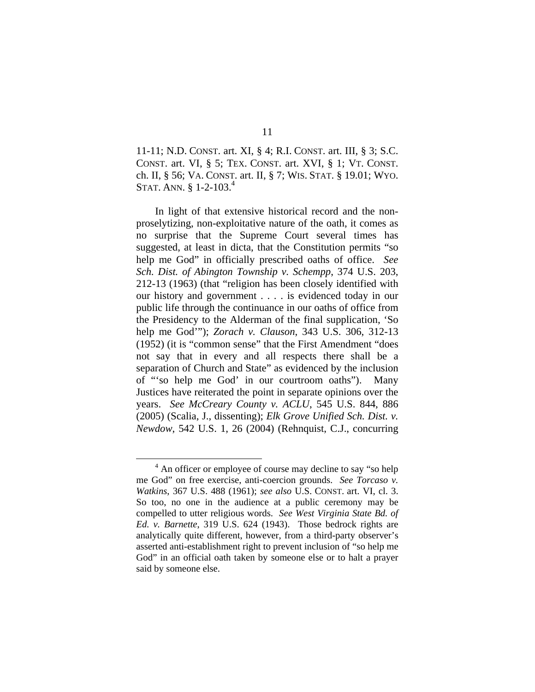11-11; N.D. CONST. art. XI, § 4; R.I. CONST. art. III, § 3; S.C. CONST. art. VI, § 5; TEX. CONST. art. XVI, § 1; VT. CONST. ch. II, § 56; VA. CONST. art. II, § 7; WIS. STAT. § 19.01; WYO. STAT. ANN.  $§$  1-2-103.<sup>4</sup>

 In light of that extensive historical record and the nonproselytizing, non-exploitative nature of the oath, it comes as no surprise that the Supreme Court several times has suggested, at least in dicta, that the Constitution permits "so help me God" in officially prescribed oaths of office. *See Sch. Dist. of Abington Township v. Schempp*, 374 U.S. 203, 212-13 (1963) (that "religion has been closely identified with our history and government . . . . is evidenced today in our public life through the continuance in our oaths of office from the Presidency to the Alderman of the final supplication, 'So help me God'"); *Zorach v. Clauson*, 343 U.S. 306, 312-13 (1952) (it is "common sense" that the First Amendment "does not say that in every and all respects there shall be a separation of Church and State" as evidenced by the inclusion of "'so help me God' in our courtroom oaths"). Many Justices have reiterated the point in separate opinions over the years. *See McCreary County v. ACLU*, 545 U.S. 844, 886 (2005) (Scalia, J., dissenting); *Elk Grove Unified Sch. Dist. v. Newdow*, 542 U.S. 1, 26 (2004) (Rehnquist, C.J., concurring

 $\overline{4}$ <sup>4</sup> An officer or employee of course may decline to say "so help me God" on free exercise, anti-coercion grounds. *See Torcaso v. Watkins*, 367 U.S. 488 (1961); *see also* U.S. CONST. art. VI, cl. 3. So too, no one in the audience at a public ceremony may be compelled to utter religious words. *See West Virginia State Bd. of Ed. v. Barnette*, 319 U.S. 624 (1943). Those bedrock rights are analytically quite different, however, from a third-party observer's asserted anti-establishment right to prevent inclusion of "so help me God" in an official oath taken by someone else or to halt a prayer said by someone else.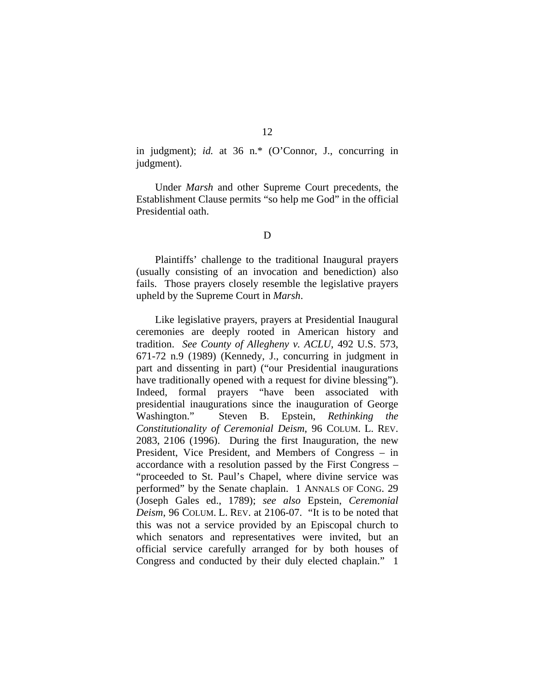in judgment); *id.* at 36 n.\* (O'Connor, J., concurring in judgment).

 Under *Marsh* and other Supreme Court precedents, the Establishment Clause permits "so help me God" in the official Presidential oath.

#### D

 Plaintiffs' challenge to the traditional Inaugural prayers (usually consisting of an invocation and benediction) also fails. Those prayers closely resemble the legislative prayers upheld by the Supreme Court in *Marsh*.

 Like legislative prayers, prayers at Presidential Inaugural ceremonies are deeply rooted in American history and tradition. *See County of Allegheny v. ACLU*, 492 U.S. 573, 671-72 n.9 (1989) (Kennedy, J., concurring in judgment in part and dissenting in part) ("our Presidential inaugurations have traditionally opened with a request for divine blessing"). Indeed, formal prayers "have been associated with presidential inaugurations since the inauguration of George Washington." Steven B. Epstein, *Rethinking the Constitutionality of Ceremonial Deism*, 96 COLUM. L. REV. 2083, 2106 (1996). During the first Inauguration, the new President, Vice President, and Members of Congress – in accordance with a resolution passed by the First Congress – "proceeded to St. Paul's Chapel, where divine service was performed" by the Senate chaplain. 1 ANNALS OF CONG. 29 (Joseph Gales ed., 1789); *see also* Epstein, *Ceremonial Deism*, 96 COLUM. L. REV. at 2106-07. "It is to be noted that this was not a service provided by an Episcopal church to which senators and representatives were invited, but an official service carefully arranged for by both houses of Congress and conducted by their duly elected chaplain." 1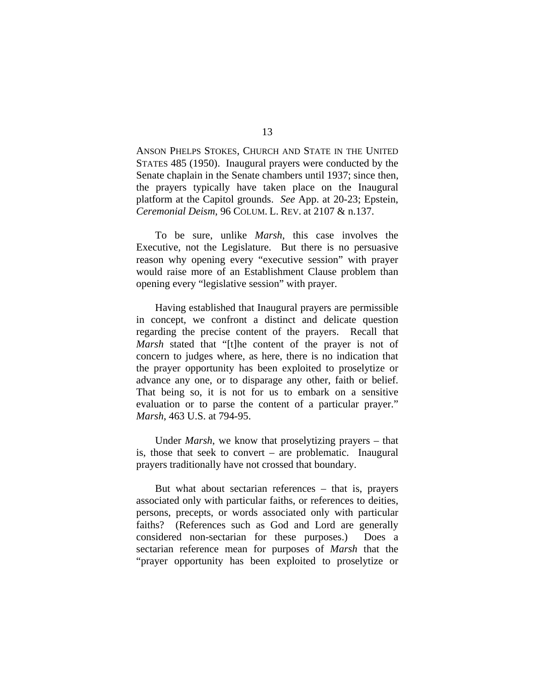ANSON PHELPS STOKES, CHURCH AND STATE IN THE UNITED STATES 485 (1950). Inaugural prayers were conducted by the Senate chaplain in the Senate chambers until 1937; since then, the prayers typically have taken place on the Inaugural platform at the Capitol grounds. *See* App. at 20-23; Epstein, *Ceremonial Deism*, 96 COLUM. L. REV. at 2107 & n.137.

 To be sure, unlike *Marsh*, this case involves the Executive, not the Legislature. But there is no persuasive reason why opening every "executive session" with prayer would raise more of an Establishment Clause problem than opening every "legislative session" with prayer.

 Having established that Inaugural prayers are permissible in concept, we confront a distinct and delicate question regarding the precise content of the prayers. Recall that *Marsh* stated that "[t]he content of the prayer is not of concern to judges where, as here, there is no indication that the prayer opportunity has been exploited to proselytize or advance any one, or to disparage any other, faith or belief. That being so, it is not for us to embark on a sensitive evaluation or to parse the content of a particular prayer." *Marsh*, 463 U.S. at 794-95.

 Under *Marsh*, we know that proselytizing prayers – that is, those that seek to convert – are problematic. Inaugural prayers traditionally have not crossed that boundary.

 But what about sectarian references – that is, prayers associated only with particular faiths, or references to deities, persons, precepts, or words associated only with particular faiths? (References such as God and Lord are generally considered non-sectarian for these purposes.) Does a sectarian reference mean for purposes of *Marsh* that the "prayer opportunity has been exploited to proselytize or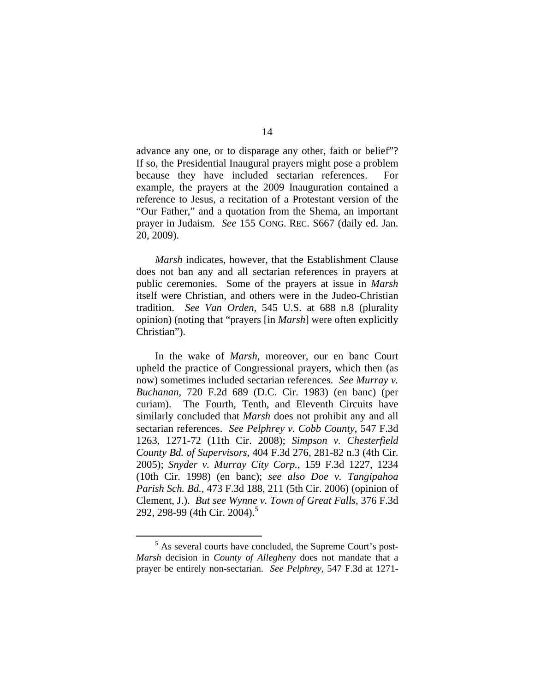advance any one, or to disparage any other, faith or belief"? If so, the Presidential Inaugural prayers might pose a problem because they have included sectarian references. For example, the prayers at the 2009 Inauguration contained a reference to Jesus, a recitation of a Protestant version of the "Our Father," and a quotation from the Shema, an important prayer in Judaism. *See* 155 CONG. REC. S667 (daily ed. Jan. 20, 2009).

 *Marsh* indicates, however, that the Establishment Clause does not ban any and all sectarian references in prayers at public ceremonies. Some of the prayers at issue in *Marsh*  itself were Christian, and others were in the Judeo-Christian tradition. *See Van Orden*, 545 U.S. at 688 n.8 (plurality opinion) (noting that "prayers [in *Marsh*] were often explicitly Christian").

 In the wake of *Marsh*, moreover, our en banc Court upheld the practice of Congressional prayers, which then (as now) sometimes included sectarian references. *See Murray v. Buchanan*, 720 F.2d 689 (D.C. Cir. 1983) (en banc) (per curiam). The Fourth, Tenth, and Eleventh Circuits have similarly concluded that *Marsh* does not prohibit any and all sectarian references. *See Pelphrey v. Cobb County*, 547 F.3d 1263, 1271-72 (11th Cir. 2008); *Simpson v. Chesterfield County Bd. of Supervisors*, 404 F.3d 276, 281-82 n.3 (4th Cir. 2005); *Snyder v. Murray City Corp.*, 159 F.3d 1227, 1234 (10th Cir. 1998) (en banc); *see also Doe v. Tangipahoa Parish Sch. Bd.*, 473 F.3d 188, 211 (5th Cir. 2006) (opinion of Clement, J.). *But see Wynne v. Town of Great Falls*, 376 F.3d 292, 298-99 (4th Cir. 2004).<sup>5</sup>

 $\frac{1}{5}$  $<sup>5</sup>$  As several courts have concluded, the Supreme Court's post-</sup> *Marsh* decision in *County of Allegheny* does not mandate that a prayer be entirely non-sectarian. *See Pelphrey*, 547 F.3d at 1271-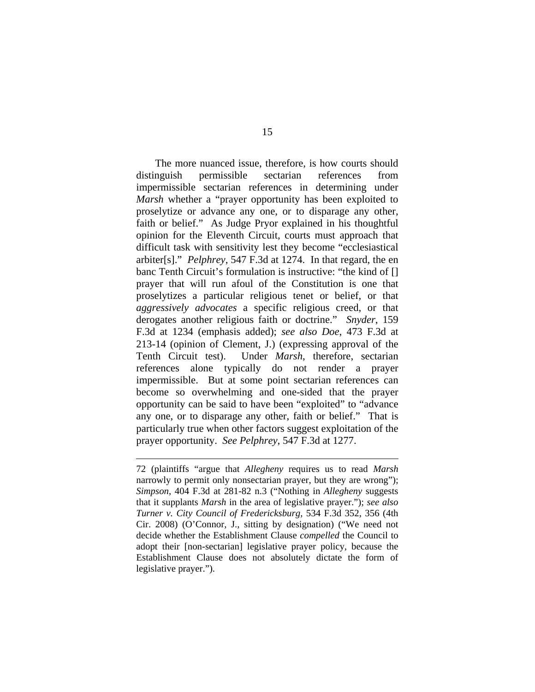The more nuanced issue, therefore, is how courts should distinguish permissible sectarian references from impermissible sectarian references in determining under *Marsh* whether a "prayer opportunity has been exploited to proselytize or advance any one, or to disparage any other, faith or belief." As Judge Pryor explained in his thoughtful opinion for the Eleventh Circuit, courts must approach that difficult task with sensitivity lest they become "ecclesiastical arbiter[s]." *Pelphrey*, 547 F.3d at 1274. In that regard, the en banc Tenth Circuit's formulation is instructive: "the kind of [] prayer that will run afoul of the Constitution is one that proselytizes a particular religious tenet or belief, or that *aggressively advocates* a specific religious creed, or that derogates another religious faith or doctrine." *Snyder*, 159 F.3d at 1234 (emphasis added); *see also Doe*, 473 F.3d at 213-14 (opinion of Clement, J.) (expressing approval of the Tenth Circuit test). Under *Marsh*, therefore, sectarian references alone typically do not render a prayer impermissible. But at some point sectarian references can become so overwhelming and one-sided that the prayer opportunity can be said to have been "exploited" to "advance any one, or to disparage any other, faith or belief." That is particularly true when other factors suggest exploitation of the prayer opportunity. *See Pelphrey*, 547 F.3d at 1277.

 $\overline{a}$ 

<sup>72 (</sup>plaintiffs "argue that *Allegheny* requires us to read *Marsh*  narrowly to permit only nonsectarian prayer, but they are wrong"); *Simpson*, 404 F.3d at 281-82 n.3 ("Nothing in *Allegheny* suggests that it supplants *Marsh* in the area of legislative prayer."); *see also Turner v. City Council of Fredericksburg*, 534 F.3d 352, 356 (4th Cir. 2008) (O'Connor, J., sitting by designation) ("We need not decide whether the Establishment Clause *compelled* the Council to adopt their [non-sectarian] legislative prayer policy, because the Establishment Clause does not absolutely dictate the form of legislative prayer.").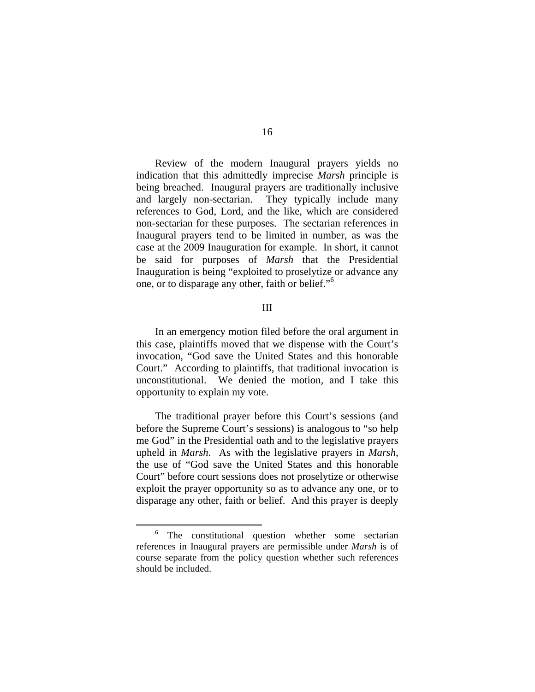Review of the modern Inaugural prayers yields no indication that this admittedly imprecise *Marsh* principle is being breached. Inaugural prayers are traditionally inclusive and largely non-sectarian. They typically include many references to God, Lord, and the like, which are considered non-sectarian for these purposes. The sectarian references in Inaugural prayers tend to be limited in number, as was the case at the 2009 Inauguration for example. In short, it cannot be said for purposes of *Marsh* that the Presidential Inauguration is being "exploited to proselytize or advance any one, or to disparage any other, faith or belief."6 

### III

 In an emergency motion filed before the oral argument in this case, plaintiffs moved that we dispense with the Court's invocation, "God save the United States and this honorable Court." According to plaintiffs, that traditional invocation is unconstitutional. We denied the motion, and I take this opportunity to explain my vote.

 The traditional prayer before this Court's sessions (and before the Supreme Court's sessions) is analogous to "so help me God" in the Presidential oath and to the legislative prayers upheld in *Marsh*. As with the legislative prayers in *Marsh*, the use of "God save the United States and this honorable Court" before court sessions does not proselytize or otherwise exploit the prayer opportunity so as to advance any one, or to disparage any other, faith or belief. And this prayer is deeply

 $\overline{6}$ <sup>6</sup> The constitutional question whether some sectarian references in Inaugural prayers are permissible under *Marsh* is of course separate from the policy question whether such references should be included.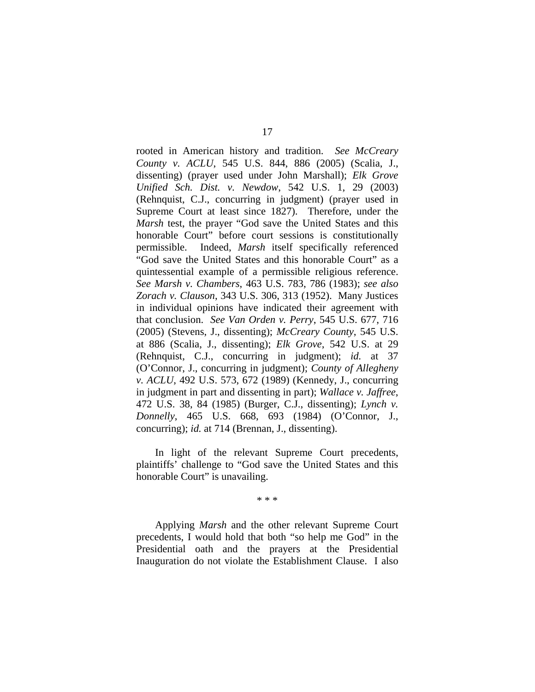rooted in American history and tradition. *See McCreary County v. ACLU*, 545 U.S. 844, 886 (2005) (Scalia, J., dissenting) (prayer used under John Marshall); *Elk Grove Unified Sch. Dist. v. Newdow*, 542 U.S. 1, 29 (2003) (Rehnquist, C.J., concurring in judgment) (prayer used in Supreme Court at least since 1827). Therefore, under the *Marsh* test, the prayer "God save the United States and this honorable Court" before court sessions is constitutionally permissible. Indeed, *Marsh* itself specifically referenced "God save the United States and this honorable Court" as a quintessential example of a permissible religious reference. *See Marsh v. Chambers*, 463 U.S. 783, 786 (1983); *see also Zorach v. Clauson*, 343 U.S. 306, 313 (1952). Many Justices in individual opinions have indicated their agreement with that conclusion. *See Van Orden v. Perry*, 545 U.S. 677, 716 (2005) (Stevens, J., dissenting); *McCreary County*, 545 U.S. at 886 (Scalia, J., dissenting); *Elk Grove*, 542 U.S. at 29 (Rehnquist, C.J., concurring in judgment); *id.* at 37 (O'Connor, J., concurring in judgment); *County of Allegheny v. ACLU*, 492 U.S. 573, 672 (1989) (Kennedy, J., concurring in judgment in part and dissenting in part); *Wallace v. Jaffree*, 472 U.S. 38, 84 (1985) (Burger, C.J., dissenting); *Lynch v. Donnelly*, 465 U.S. 668, 693 (1984) (O'Connor, J., concurring); *id.* at 714 (Brennan, J., dissenting).

 In light of the relevant Supreme Court precedents, plaintiffs' challenge to "God save the United States and this honorable Court" is unavailing.

\* \* \*

 Applying *Marsh* and the other relevant Supreme Court precedents, I would hold that both "so help me God" in the Presidential oath and the prayers at the Presidential Inauguration do not violate the Establishment Clause. I also